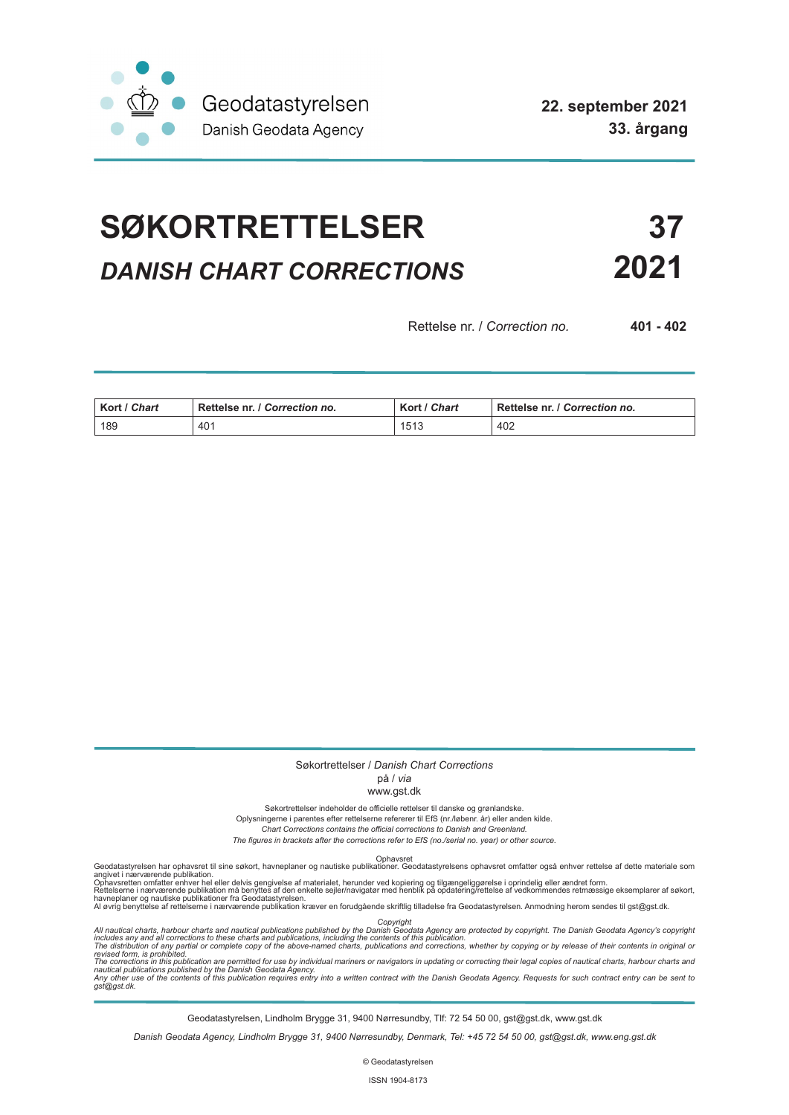

# **SØKORTRETTELSER 37** *DANISH CHART CORRECTIONS* **2021**

Rettelse nr. / *Correction no.* **401 - 402**

| Kort / Chart | Rettelse nr. / Correction no. | Kort / Chart | Rettelse nr. / Correction no. |
|--------------|-------------------------------|--------------|-------------------------------|
| 189          | 401                           | 1513         | 402                           |

## Søkortrettelser / *Danish Chart Corrections*

### på / *via* www.gst.dk

Søkortrettelser indeholder de officielle rettelser til danske og grønlandske. Oplysningerne i parentes efter rettelserne refererer til EfS (nr./løbenr. år) eller anden kilde.

*Chart Corrections contains the official corrections to Danish and Greenland.* 

*The figures in brackets after the corrections refer to EfS (no./serial no. year) or other source.*

Ophavsret Geodatastyrelsen har ophavsret til sine søkort, havneplaner og nautiske publikationer. Geodatastyrelsens ophavsret omfatter også enhver rettelse af dette materiale som

angivet i nærværende publikation.<br>Ophavsretten omfatter enhver hel eller delvis gengivelse af materialet, herunder ved kopiering og tilgængeliggørelse i oprindelig eller ændret form.<br>Rettelserne i nærværende publikation må

Copyright<br>includes any and all corrections to these charts and publications published by the Danish Agency are protected by copyright. The Danish Geodata Agency's copyright<br>includes any and all corrections to these charts

Geodatastyrelsen, Lindholm Brygge 31, 9400 Nørresundby, Tlf: 72 54 50 00, gst@gst.dk, www.gst.dk

*Danish Geodata Agency, Lindholm Brygge 31, 9400 Nørresundby, Denmark, Tel: +45 72 54 50 00, gst@gst.dk, www.eng.gst.dk*

© Geodatastyrelsen

ISSN 1904-8173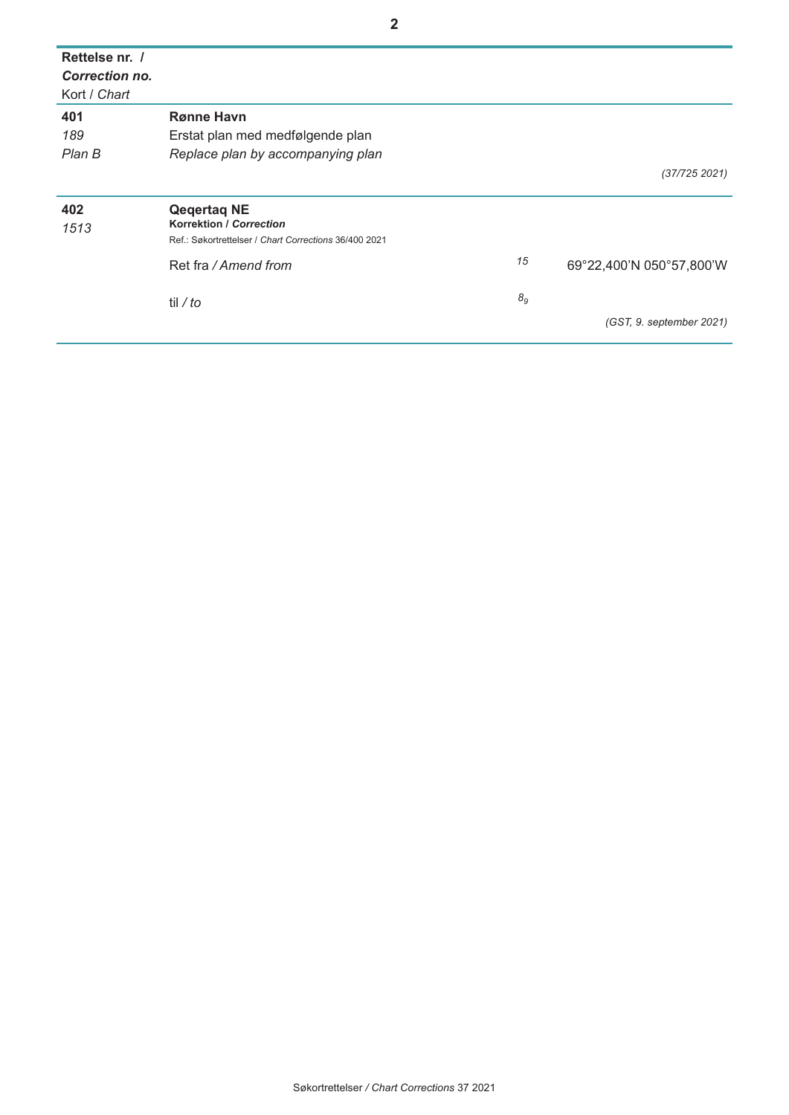| Rettelse nr. /<br><b>Correction no.</b><br>Kort / Chart |                                                       |                |                          |
|---------------------------------------------------------|-------------------------------------------------------|----------------|--------------------------|
| 401                                                     | <b>Rønne Havn</b>                                     |                |                          |
| 189                                                     | Erstat plan med medfølgende plan                      |                |                          |
| Plan B                                                  | Replace plan by accompanying plan                     |                |                          |
|                                                         |                                                       |                | (37/725 2021)            |
| 402<br>1513                                             | <b>Qegertag NE</b><br><b>Korrektion / Correction</b>  |                |                          |
|                                                         | Ref.: Søkortrettelser / Chart Corrections 36/400 2021 |                |                          |
|                                                         | Ret fra / Amend from                                  | 15             | 69°22,400'N 050°57,800'W |
|                                                         | til / to                                              | 8 <sub>g</sub> |                          |
|                                                         |                                                       |                | (GST, 9. september 2021) |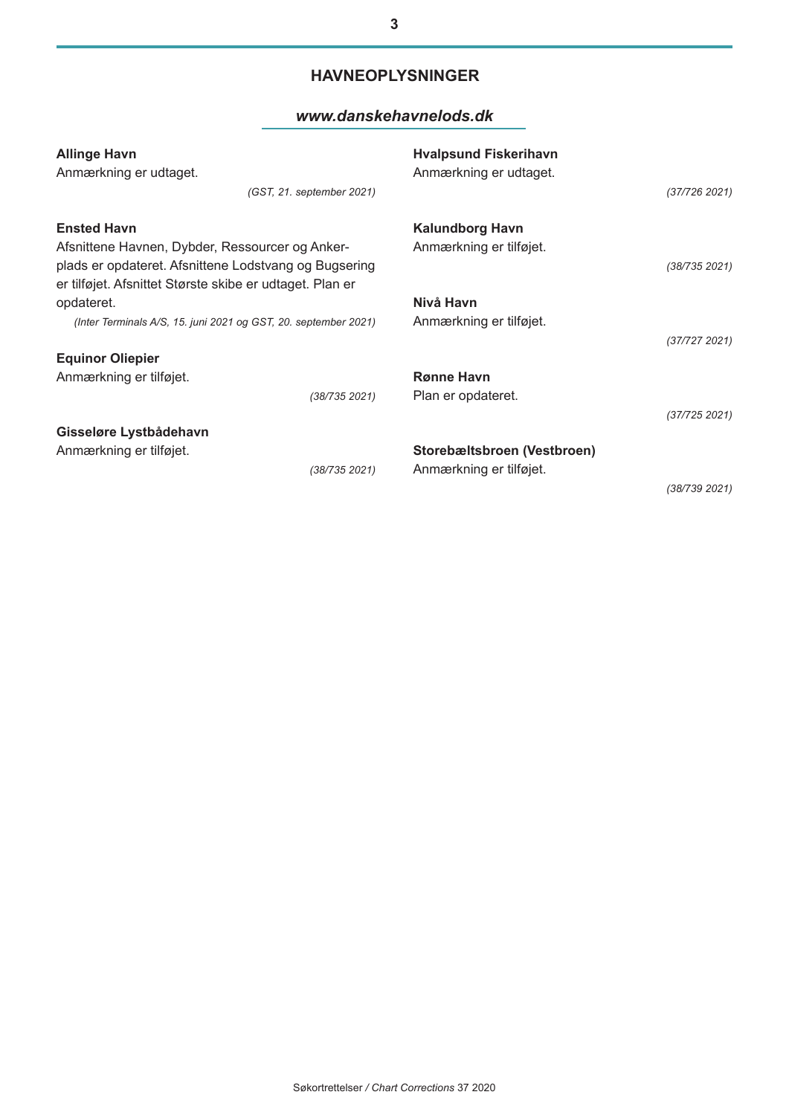## **HAVNEOPLYSNINGER**

**3**

### *www.danskehavnelods.dk*

| <b>Allinge Havn</b><br>Anmærkning er udtaget.                                                                                                                        | (GST, 21. september 2021) | <b>Hyalpsund Fiskerihavn</b><br>Anmærkning er udtaget. | (37/726 2021) |
|----------------------------------------------------------------------------------------------------------------------------------------------------------------------|---------------------------|--------------------------------------------------------|---------------|
| <b>Ensted Havn</b>                                                                                                                                                   |                           | Kalundborg Havn<br>Anmærkning er tilføjet.             |               |
| Afsnittene Havnen, Dybder, Ressourcer og Anker-<br>plads er opdateret. Afsnittene Lodstvang og Bugsering<br>er tilføjet. Afsnittet Største skibe er udtaget. Plan er |                           |                                                        | (38/735 2021) |
| opdateret.                                                                                                                                                           |                           | Nivå Havn                                              |               |
| (Inter Terminals A/S, 15. juni 2021 og GST, 20. september 2021)                                                                                                      |                           | Anmærkning er tilføjet.                                |               |
|                                                                                                                                                                      |                           |                                                        | (37/7272021)  |
| <b>Equinor Oliepier</b>                                                                                                                                              |                           |                                                        |               |
| Anmærkning er tilføjet.                                                                                                                                              |                           | <b>Rønne Havn</b>                                      |               |
|                                                                                                                                                                      | (38/735 2021)             | Plan er opdateret.                                     |               |
|                                                                                                                                                                      |                           |                                                        | (37/725 2021) |
| Gisseløre Lystbådehavn                                                                                                                                               |                           |                                                        |               |
| Anmærkning er tilføjet.                                                                                                                                              |                           | Storebæltsbroen (Vestbroen)                            |               |
|                                                                                                                                                                      | (38/735 2021)             | Anmærkning er tilføjet.                                |               |
|                                                                                                                                                                      |                           |                                                        | (38/739 2021) |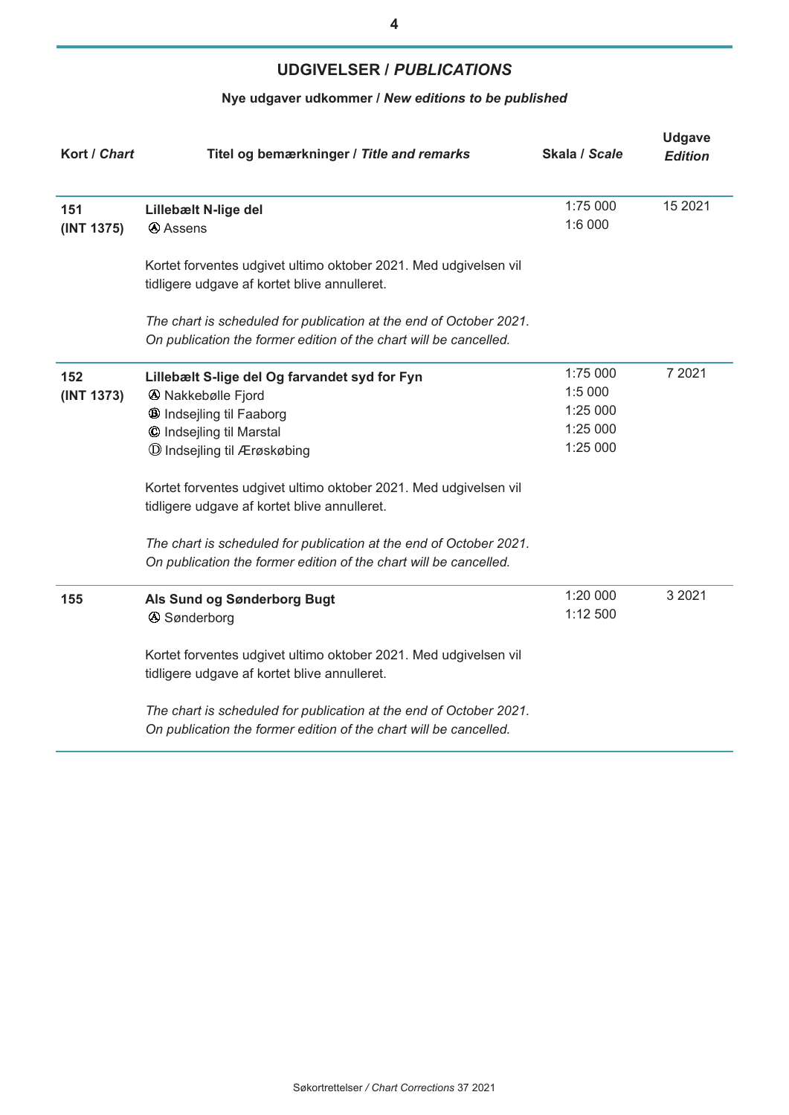## **UDGIVELSER /** *PUBLICATIONS*

## **Nye udgaver udkommer /** *New editions to be published*

| Kort / Chart      | Titel og bemærkninger / Title and remarks                                                                                                                                                                                                                                                                                                                                                                                                  | Skala / Scale                                           | <b>Udgave</b><br><b>Edition</b> |
|-------------------|--------------------------------------------------------------------------------------------------------------------------------------------------------------------------------------------------------------------------------------------------------------------------------------------------------------------------------------------------------------------------------------------------------------------------------------------|---------------------------------------------------------|---------------------------------|
| 151<br>(INT 1375) | Lillebælt N-lige del<br><b>A</b> Assens                                                                                                                                                                                                                                                                                                                                                                                                    | 1:75 000<br>1:6 000                                     | 15 2021                         |
|                   | Kortet forventes udgivet ultimo oktober 2021. Med udgivelsen vil<br>tidligere udgave af kortet blive annulleret.                                                                                                                                                                                                                                                                                                                           |                                                         |                                 |
|                   | The chart is scheduled for publication at the end of October 2021.<br>On publication the former edition of the chart will be cancelled.                                                                                                                                                                                                                                                                                                    |                                                         |                                 |
| 152<br>(INT 1373) | Lillebælt S-lige del Og farvandet syd for Fyn<br><b>4</b> Nakkebølle Fjord<br>® Indsejling til Faaborg<br>© Indsejling til Marstal<br>$\mathbb O$ Indsejling til Ærøskøbing<br>Kortet forventes udgivet ultimo oktober 2021. Med udgivelsen vil<br>tidligere udgave af kortet blive annulleret.<br>The chart is scheduled for publication at the end of October 2021.<br>On publication the former edition of the chart will be cancelled. | 1:75 000<br>1:5 000<br>1:25 000<br>1:25 000<br>1:25 000 | 7 2021                          |
| 155               | Als Sund og Sønderborg Bugt<br><b>4</b> Sønderborg<br>Kortet forventes udgivet ultimo oktober 2021. Med udgivelsen vil<br>tidligere udgave af kortet blive annulleret.<br>The chart is scheduled for publication at the end of October 2021.<br>On publication the former edition of the chart will be cancelled.                                                                                                                          | 1:20 000<br>1:12 500                                    | 3 2021                          |